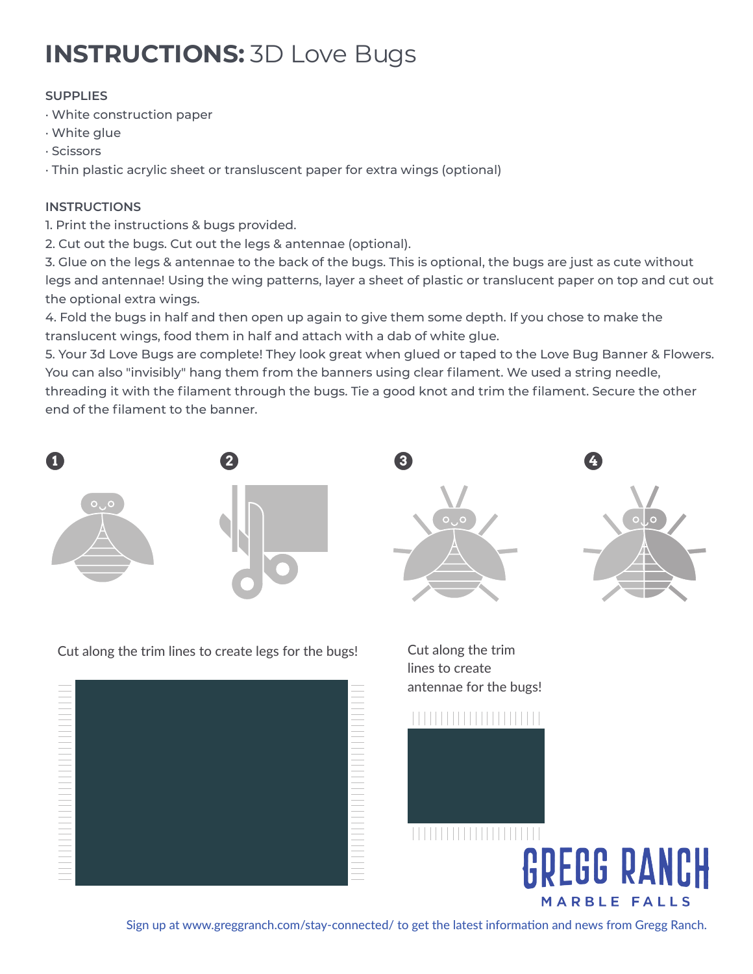## **INSTRUCTIONS: 3D Love Bugs**

## **SUPPLIES**

- · White construction paper
- · White glue
- · Scissors
- · Thin plastic acrylic sheet or transluscent paper for extra wings (optional)

## **INSTRUCTIONS**

1. Print the instructions & bugs provided.

2. Cut out the bugs. Cut out the legs & antennae (optional).

3. Glue on the legs & antennae to the back of the bugs. This is optional, the bugs are just as cute without legs and antennae! Using the wing patterns, layer a sheet of plastic or translucent paper on top and cut out the optional extra wings.

4. Fold the bugs in half and then open up again to give them some depth. If you chose to make the translucent wings, food them in half and attach with a dab of white glue.

5. Your 3d Love Bugs are complete! They look great when glued or taped to the Love Bug Banner & Flowers. You can also "invisibly" hang them from the banners using clear filament. We used a string needle, threading it with the filament through the bugs. Tie a good knot and trim the filament. Secure the other end of the filament to the banner.









Cut along the trim lines to create legs for the bugs!

Cut along the trim lines to create antennae for the bugs!





Sign up at www.greggranch.com/stay-connected/ to get the latest information and news from Gregg Ranch.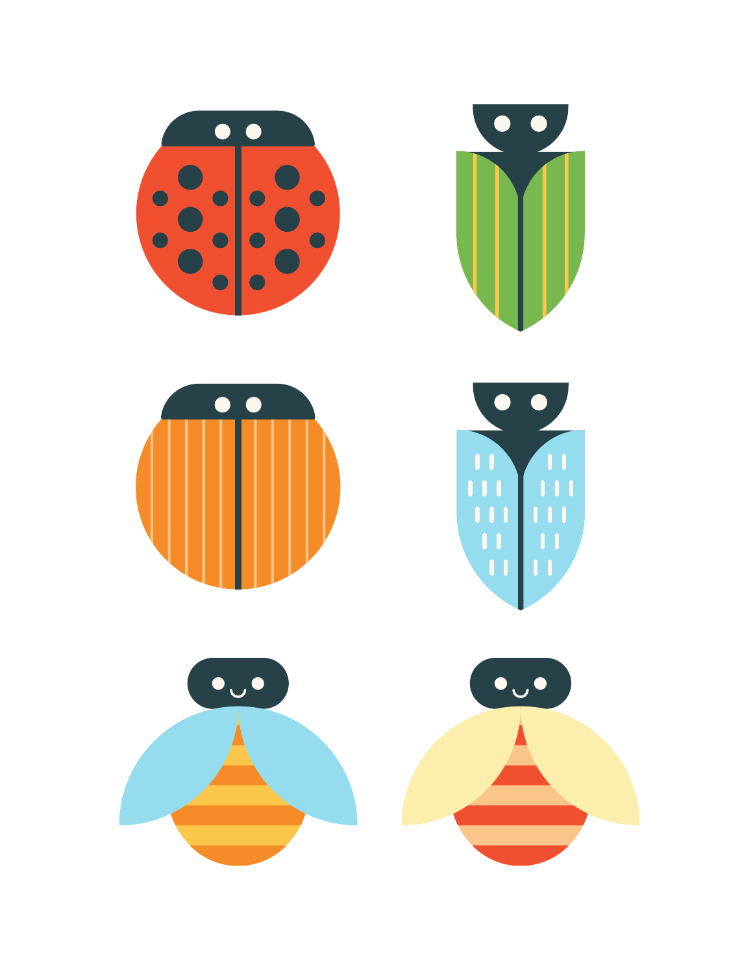